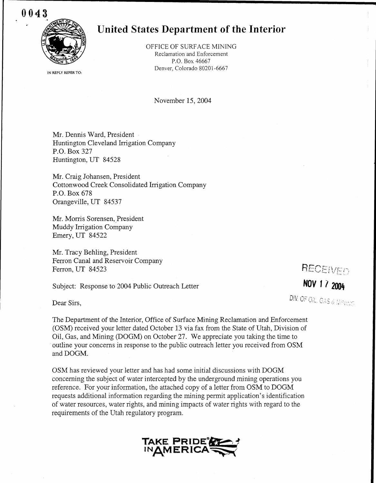$0043$ 

 



IN REPLY REFER TO:

## United States Department of the Interior

OFFICE OF SURFACE MINING Reclamation and Enforcement P.O. Box 46667 Denver, Colorado 80201-6667

November 15, 2004

Mr. Dennis Ward, President Huntington Cleveland Irrigation Company P.O. Box 327 Huntington, UT 84528

Mr. Craig Johansen, President Cottonwood Creek Consolidated Irrigation Company P.O. Box 678 Orangeville, UT 84537

Mr. Morris Sorensen, President Muddy Irrigation Company Emery, UT 84522

Mr. Tracy Behling, President Ferron Canal and Reservoir Company Ferron, UT 84523

Subject: Response to 2004 Public Outreach Letter

Dear Sirs,

The Department of the Interior, Office of Surface Mining Reclamation and Enforcement (OSM) received your letter dated October 13 via fax from the State of Utah, Division of Oil, Gas, and Mining (DOGM) on October 27 . We appreciate you taking the time to outline your concerns in response to the public outreach letter you received from OSM and DOGM.

OSM has reviewed your letter and has had some initial discussions with DOGM concerning the subject of water intercepted by the underground mining operations you reference. For your information, the attached copy of a letter from OSM to DOGM requests additional information regarding the mining permit application's identification of water resources, water rights, and mining impacts of water rights with regard to the requirements of the Utah regulatory program .



RECEIVED NOV 1  $\bar{7}$  2004

 $D!V$ . OH $\langle$   $\bigcirc$   $\rangle$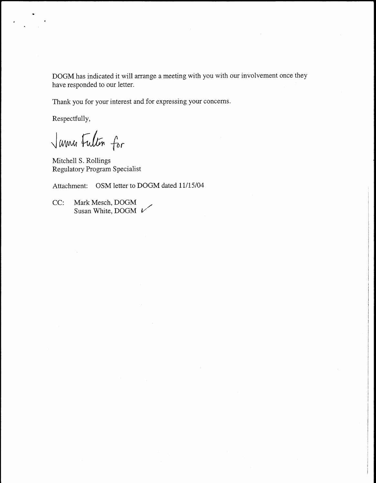DOGM has indicated it will arrange a meeting with you with our involvement once they have responded to our letter.

Thank you for your interest and for expressing your concerns.

Respectfully,

 

unus tullen for

Mitchell S. Rollings Regulatory Program Specialist

Attachment: OSM letter to DOGM dated 11/15/04

CC: Mark Mesch, DOGM Susan White, DOGM  $\nu'$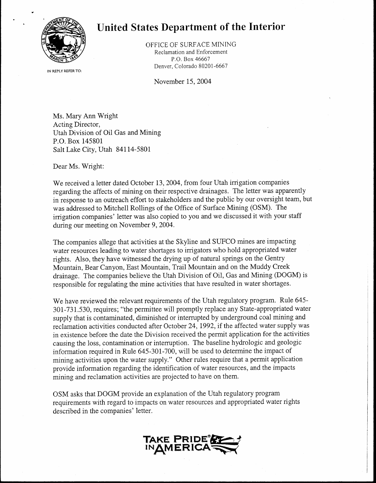

IN REPLY REFER TO:

## United States Department of the Interior

OFFICE OF SURFACE MINING Reclamation and Enforcement P.O. Box 46667 Denver, Colorado 80201-6667

November 15, 2004

Ms. Mary Ann Wright Acting Director, Utah Division of Oil Gas and Mining P.O . Box 145801 Salt Lake City, Utah 84114-5801

Dear Ms. Wright:

We received a letter dated October 13, 2004, from four Utah irrigation companies regarding the affects of mining on their respective drainages. The letter was apparently in response to an outreach effort to stakeholders and the public by our oversight team, but was addressed to Mitchell Rollings of the Office of Surface Mining (OSM) . The irrigation companies' letter was also copied to you and we discussed it with your staff during our meeting on November 9, 2004 .

The companies allege that activities at the Skyline and SUFCO mines are impacting water resources leading to water shortages to irrigators who hold appropriated water rights. Also, they have witnessed the drying up of natural springs on the Gentry Mountain, Bear Canyon, East Mountain, Trail Mountain and on the Muddy Creek drainage. The companies believe the Utah Division of Oil, Gas and Mining (DOGM) is responsible for regulating the mine activities that have resulted in water shortages .

We have reviewed the relevant requirements of the Utah regulatory program. Rule 645-301-731.530, requires; "the permittee will promptly replace any State-appropriated water supply that is contaminated, diminished or interrupted by underground coal mining and reclamation activities conducted after October 24, 1992, if the affected water supply was in existence before the date the Division received the permit application for the activities causing the loss, contamination or interruption . The baseline hydrologic and geologic information required in Rule 645-301-700, will be used to determine the impact of mining activities upon the water supply." Other rules require that a permit application provide information regarding the identification of water resources, and the impacts mining and reclamation activities are projected to have on them.

OSM asks that DOGM provide an explanation of the Utah regulatory program requirements with regard to impacts on water resources and appropriated water rights described in the companies' letter.